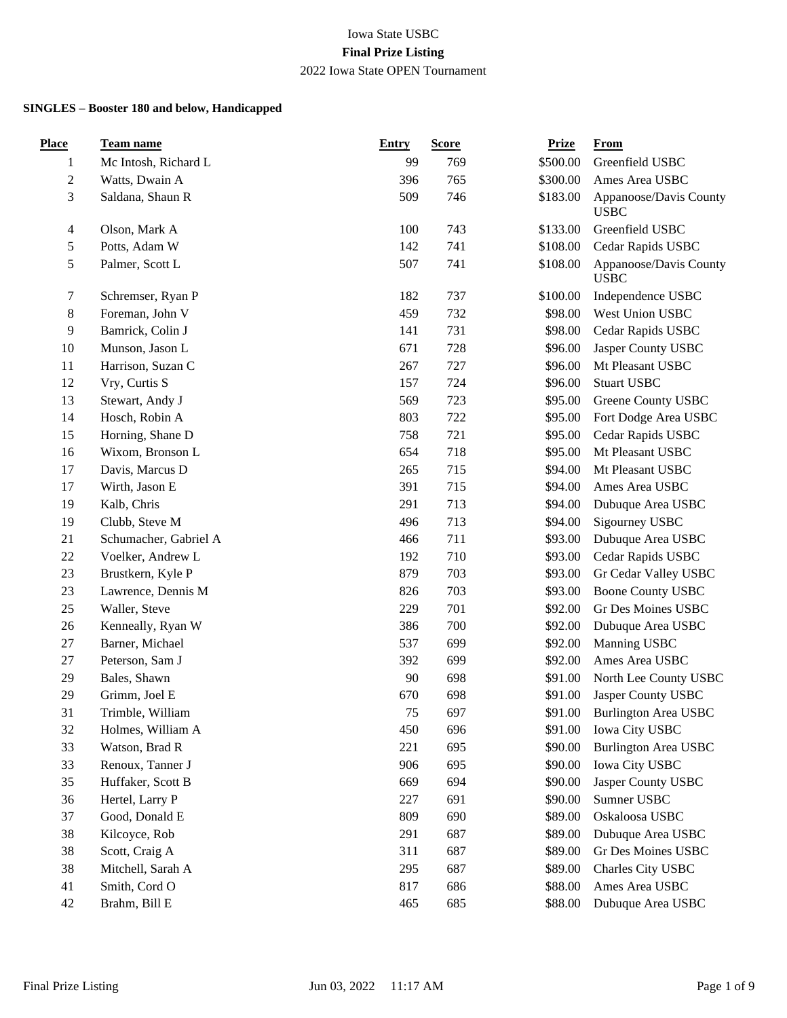| <b>Place</b>     | <b>Team name</b>      | <b>Entry</b> | <b>Score</b> | <b>Prize</b> | <b>From</b>                           |
|------------------|-----------------------|--------------|--------------|--------------|---------------------------------------|
| 1                | Mc Intosh, Richard L  | 99           | 769          | \$500.00     | Greenfield USBC                       |
| $\boldsymbol{2}$ | Watts, Dwain A        | 396          | 765          | \$300.00     | Ames Area USBC                        |
| 3                | Saldana, Shaun R      | 509          | 746          | \$183.00     | Appanoose/Davis County<br><b>USBC</b> |
| $\overline{4}$   | Olson, Mark A         | 100          | 743          | \$133.00     | Greenfield USBC                       |
| 5                | Potts, Adam W         | 142          | 741          | \$108.00     | Cedar Rapids USBC                     |
| 5                | Palmer, Scott L       | 507          | 741          | \$108.00     | Appanoose/Davis County<br><b>USBC</b> |
| $\tau$           | Schremser, Ryan P     | 182          | 737          | \$100.00     | Independence USBC                     |
| $\,8\,$          | Foreman, John V       | 459          | 732          | \$98.00      | West Union USBC                       |
| 9                | Bamrick, Colin J      | 141          | 731          | \$98.00      | Cedar Rapids USBC                     |
| 10               | Munson, Jason L       | 671          | 728          | \$96.00      | Jasper County USBC                    |
| 11               | Harrison, Suzan C     | 267          | 727          | \$96.00      | Mt Pleasant USBC                      |
| 12               | Vry, Curtis S         | 157          | 724          | \$96.00      | <b>Stuart USBC</b>                    |
| 13               | Stewart, Andy J       | 569          | 723          | \$95.00      | Greene County USBC                    |
| 14               | Hosch, Robin A        | 803          | 722          | \$95.00      | Fort Dodge Area USBC                  |
| 15               | Horning, Shane D      | 758          | 721          | \$95.00      | Cedar Rapids USBC                     |
| 16               | Wixom, Bronson L      | 654          | 718          | \$95.00      | Mt Pleasant USBC                      |
| 17               | Davis, Marcus D       | 265          | 715          | \$94.00      | Mt Pleasant USBC                      |
| 17               | Wirth, Jason E        | 391          | 715          | \$94.00      | Ames Area USBC                        |
| 19               | Kalb, Chris           | 291          | 713          | \$94.00      | Dubuque Area USBC                     |
| 19               | Clubb, Steve M        | 496          | 713          | \$94.00      | Sigourney USBC                        |
| 21               | Schumacher, Gabriel A | 466          | 711          | \$93.00      | Dubuque Area USBC                     |
| 22               | Voelker, Andrew L     | 192          | 710          | \$93.00      | Cedar Rapids USBC                     |
| 23               | Brustkern, Kyle P     | 879          | 703          | \$93.00      | Gr Cedar Valley USBC                  |
| 23               | Lawrence, Dennis M    | 826          | 703          | \$93.00      | <b>Boone County USBC</b>              |
| 25               | Waller, Steve         | 229          | 701          | \$92.00      | Gr Des Moines USBC                    |
| 26               | Kenneally, Ryan W     | 386          | 700          | \$92.00      | Dubuque Area USBC                     |
| 27               | Barner, Michael       | 537          | 699          | \$92.00      | Manning USBC                          |
| 27               | Peterson, Sam J       | 392          | 699          | \$92.00      | Ames Area USBC                        |
| 29               | Bales, Shawn          | 90           | 698          | \$91.00      | North Lee County USBC                 |
| 29               | Grimm, Joel E         | 670          | 698          | \$91.00      | Jasper County USBC                    |
| 31               | Trimble, William      | 75           | 697          |              | \$91.00 Burlington Area USBC          |
| 32               | Holmes, William A     | 450          | 696          | \$91.00      | Iowa City USBC                        |
| 33               | Watson, Brad R        | 221          | 695          | \$90.00      | <b>Burlington Area USBC</b>           |
| 33               | Renoux, Tanner J      | 906          | 695          | \$90.00      | <b>Iowa City USBC</b>                 |
| 35               | Huffaker, Scott B     | 669          | 694          | \$90.00      | Jasper County USBC                    |
| 36               | Hertel, Larry P       | 227          | 691          | \$90.00      | Sumner USBC                           |
| 37               | Good, Donald E        | 809          | 690          | \$89.00      | Oskaloosa USBC                        |
| 38               | Kilcoyce, Rob         | 291          | 687          | \$89.00      | Dubuque Area USBC                     |
| 38               | Scott, Craig A        | 311          | 687          | \$89.00      | Gr Des Moines USBC                    |
| 38               | Mitchell, Sarah A     | 295          | 687          | \$89.00      | Charles City USBC                     |
| 41               | Smith, Cord O         | 817          | 686          | \$88.00      | Ames Area USBC                        |
| 42               | Brahm, Bill E         | 465          | 685          | \$88.00      | Dubuque Area USBC                     |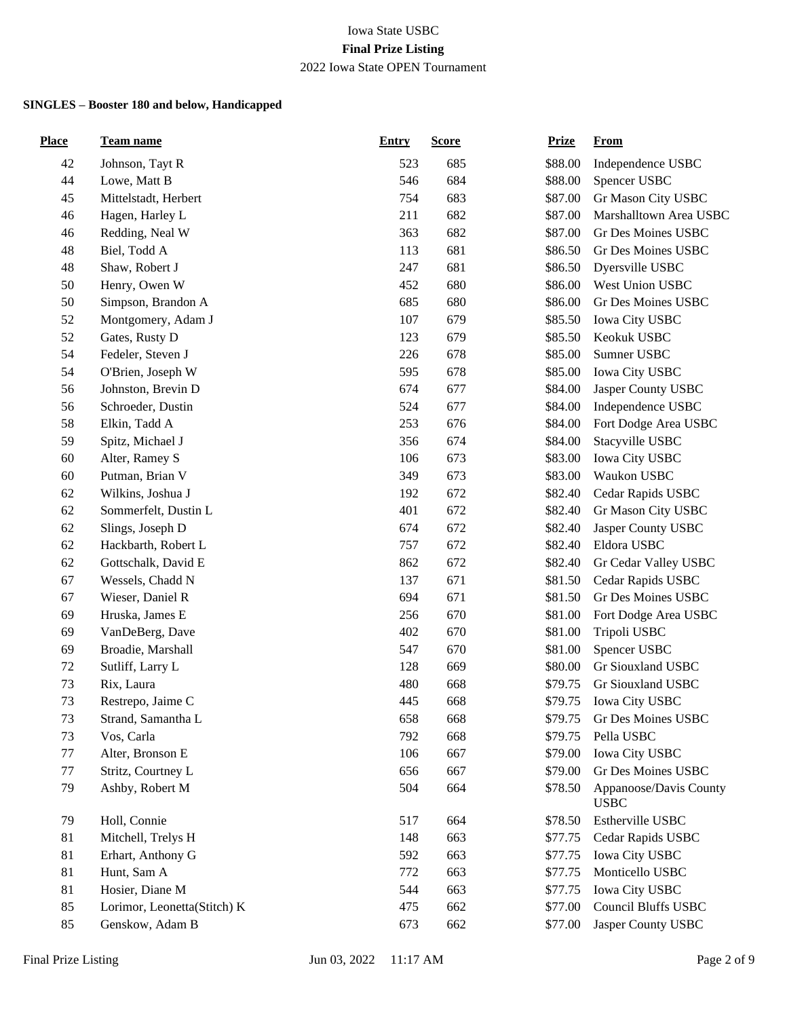| <b>Place</b> | Team name                   | <b>Entry</b> | <b>Score</b> | <b>Prize</b> | <b>From</b>                              |
|--------------|-----------------------------|--------------|--------------|--------------|------------------------------------------|
| 42           | Johnson, Tayt R             | 523          | 685          | \$88.00      | Independence USBC                        |
| 44           | Lowe, Matt B                | 546          | 684          | \$88.00      | Spencer USBC                             |
| 45           | Mittelstadt, Herbert        | 754          | 683          | \$87.00      | Gr Mason City USBC                       |
| 46           | Hagen, Harley L             | 211          | 682          | \$87.00      | Marshalltown Area USBC                   |
| 46           | Redding, Neal W             | 363          | 682          | \$87.00      | Gr Des Moines USBC                       |
| 48           | Biel, Todd A                | 113          | 681          | \$86.50      | Gr Des Moines USBC                       |
| 48           | Shaw, Robert J              | 247          | 681          | \$86.50      | Dyersville USBC                          |
| 50           | Henry, Owen W               | 452          | 680          | \$86.00      | West Union USBC                          |
| 50           | Simpson, Brandon A          | 685          | 680          | \$86.00      | Gr Des Moines USBC                       |
| 52           | Montgomery, Adam J          | 107          | 679          | \$85.50      | Iowa City USBC                           |
| 52           | Gates, Rusty D              | 123          | 679          | \$85.50      | Keokuk USBC                              |
| 54           | Fedeler, Steven J           | 226          | 678          | \$85.00      | Sumner USBC                              |
| 54           | O'Brien, Joseph W           | 595          | 678          | \$85.00      | Iowa City USBC                           |
| 56           | Johnston, Brevin D          | 674          | 677          | \$84.00      | Jasper County USBC                       |
| 56           | Schroeder, Dustin           | 524          | 677          | \$84.00      | Independence USBC                        |
| 58           | Elkin, Tadd A               | 253          | 676          | \$84.00      | Fort Dodge Area USBC                     |
| 59           | Spitz, Michael J            | 356          | 674          | \$84.00      | Stacyville USBC                          |
| 60           | Alter, Ramey S              | 106          | 673          | \$83.00      | Iowa City USBC                           |
| 60           | Putman, Brian V             | 349          | 673          | \$83.00      | Waukon USBC                              |
| 62           | Wilkins, Joshua J           | 192          | 672          | \$82.40      | Cedar Rapids USBC                        |
| 62           | Sommerfelt, Dustin L        | 401          | 672          | \$82.40      | Gr Mason City USBC                       |
| 62           | Slings, Joseph D            | 674          | 672          | \$82.40      | Jasper County USBC                       |
| 62           | Hackbarth, Robert L         | 757          | 672          | \$82.40      | Eldora USBC                              |
| 62           | Gottschalk, David E         | 862          | 672          | \$82.40      | Gr Cedar Valley USBC                     |
| 67           | Wessels, Chadd N            | 137          | 671          | \$81.50      | Cedar Rapids USBC                        |
| 67           | Wieser, Daniel R            | 694          | 671          | \$81.50      | Gr Des Moines USBC                       |
| 69           | Hruska, James E             | 256          | 670          | \$81.00      | Fort Dodge Area USBC                     |
| 69           | VanDeBerg, Dave             | 402          | 670          | \$81.00      | Tripoli USBC                             |
| 69           | Broadie, Marshall           | 547          | 670          | \$81.00      | Spencer USBC                             |
| 72           | Sutliff, Larry L            | 128          | 669          | \$80.00      | Gr Siouxland USBC                        |
| 73           | Rix, Laura                  | 480          | 668          | \$79.75      | Gr Siouxland USBC                        |
| 73           | Restrepo, Jaime C           | 445          | 668          | \$79.75      | <b>Iowa City USBC</b>                    |
| 73           | Strand, Samantha L          | 658          | 668          | \$79.75      | Gr Des Moines USBC                       |
| 73           | Vos, Carla                  | 792          | 668          | \$79.75      | Pella USBC                               |
| 77           | Alter, Bronson E            | 106          | 667          | \$79.00      | Iowa City USBC                           |
| $77 \,$      | Stritz, Courtney L          | 656          | 667          | \$79.00      | Gr Des Moines USBC                       |
| 79           | Ashby, Robert M             | 504          | 664          | \$78.50      | Appanoose/Davis County<br>$_{\rm{USBC}}$ |
| 79           | Holl, Connie                | 517          | 664          | \$78.50      | Estherville USBC                         |
| 81           | Mitchell, Trelys H          | 148          | 663          | \$77.75      | Cedar Rapids USBC                        |
| 81           | Erhart, Anthony G           | 592          | 663          | \$77.75      | Iowa City USBC                           |
| 81           | Hunt, Sam A                 | 772          | 663          | \$77.75      | Monticello USBC                          |
| 81           | Hosier, Diane M             | 544          | 663          | \$77.75      | Iowa City USBC                           |
| 85           | Lorimor, Leonetta(Stitch) K | 475          | 662          | \$77.00      | <b>Council Bluffs USBC</b>               |
| 85           | Genskow, Adam B             | 673          | 662          | \$77.00      | Jasper County USBC                       |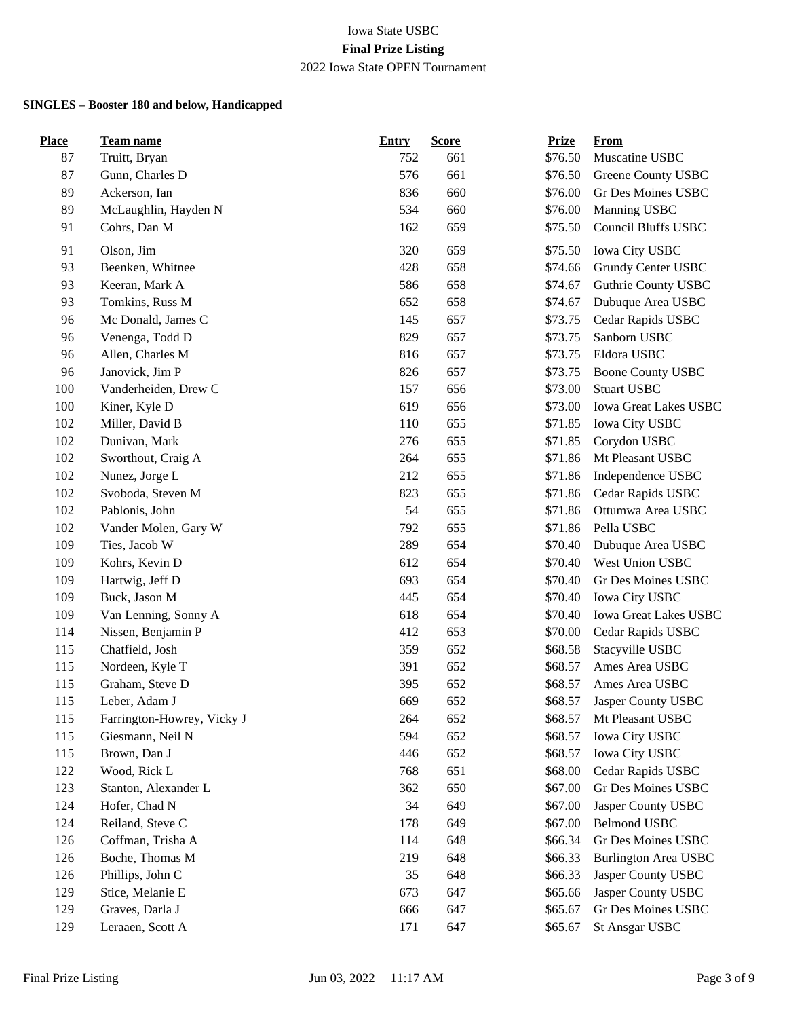| <b>Place</b> | <b>Team name</b>           | <b>Entry</b> | <b>Score</b> | <b>Prize</b> | <b>From</b>                 |
|--------------|----------------------------|--------------|--------------|--------------|-----------------------------|
| 87           | Truitt, Bryan              | 752          | 661          | \$76.50      | Muscatine USBC              |
| 87           | Gunn, Charles D            | 576          | 661          | \$76.50      | Greene County USBC          |
| 89           | Ackerson, Ian              | 836          | 660          | \$76.00      | Gr Des Moines USBC          |
| 89           | McLaughlin, Hayden N       | 534          | 660          | \$76.00      | Manning USBC                |
| 91           | Cohrs, Dan M               | 162          | 659          | \$75.50      | <b>Council Bluffs USBC</b>  |
| 91           | Olson, Jim                 | 320          | 659          | \$75.50      | Iowa City USBC              |
| 93           | Beenken, Whitnee           | 428          | 658          | \$74.66      | Grundy Center USBC          |
| 93           | Keeran, Mark A             | 586          | 658          | \$74.67      | Guthrie County USBC         |
| 93           | Tomkins, Russ M            | 652          | 658          | \$74.67      | Dubuque Area USBC           |
| 96           | Mc Donald, James C         | 145          | 657          | \$73.75      | Cedar Rapids USBC           |
| 96           | Venenga, Todd D            | 829          | 657          | \$73.75      | Sanborn USBC                |
| 96           | Allen, Charles M           | 816          | 657          | \$73.75      | Eldora USBC                 |
| 96           | Janovick, Jim P            | 826          | 657          | \$73.75      | <b>Boone County USBC</b>    |
| 100          | Vanderheiden, Drew C       | 157          | 656          | \$73.00      | <b>Stuart USBC</b>          |
| 100          | Kiner, Kyle D              | 619          | 656          | \$73.00      | Iowa Great Lakes USBC       |
| 102          | Miller, David B            | 110          | 655          | \$71.85      | Iowa City USBC              |
| 102          | Dunivan, Mark              | 276          | 655          | \$71.85      | Corydon USBC                |
| 102          | Sworthout, Craig A         | 264          | 655          | \$71.86      | Mt Pleasant USBC            |
| 102          | Nunez, Jorge L             | 212          | 655          | \$71.86      | Independence USBC           |
| 102          | Svoboda, Steven M          | 823          | 655          | \$71.86      | Cedar Rapids USBC           |
| 102          | Pablonis, John             | 54           | 655          | \$71.86      | Ottumwa Area USBC           |
| 102          | Vander Molen, Gary W       | 792          | 655          | \$71.86      | Pella USBC                  |
| 109          | Ties, Jacob W              | 289          | 654          | \$70.40      | Dubuque Area USBC           |
| 109          | Kohrs, Kevin D             | 612          | 654          | \$70.40      | West Union USBC             |
| 109          | Hartwig, Jeff D            | 693          | 654          | \$70.40      | Gr Des Moines USBC          |
| 109          | Buck, Jason M              | 445          | 654          | \$70.40      | Iowa City USBC              |
| 109          | Van Lenning, Sonny A       | 618          | 654          | \$70.40      | Iowa Great Lakes USBC       |
| 114          | Nissen, Benjamin P         | 412          | 653          | \$70.00      | Cedar Rapids USBC           |
| 115          | Chatfield, Josh            | 359          | 652          | \$68.58      | Stacyville USBC             |
| 115          | Nordeen, Kyle T            | 391          | 652          | \$68.57      | Ames Area USBC              |
| 115          | Graham, Steve D            | 395          | 652          | \$68.57      | Ames Area USBC              |
| 115          | Leber, Adam J              | 669          | 652          | \$68.57      | Jasper County USBC          |
| 115          | Farrington-Howrey, Vicky J | 264          | 652          | \$68.57      | Mt Pleasant USBC            |
| 115          | Giesmann, Neil N           | 594          | 652          | \$68.57      | Iowa City USBC              |
| 115          | Brown, Dan J               | 446          | 652          | \$68.57      | <b>Iowa City USBC</b>       |
| 122          | Wood, Rick L               | 768          | 651          | \$68.00      | Cedar Rapids USBC           |
| 123          | Stanton, Alexander L       | 362          | 650          | \$67.00      | Gr Des Moines USBC          |
| 124          | Hofer, Chad N              | 34           | 649          | \$67.00      | Jasper County USBC          |
| 124          | Reiland, Steve C           | 178          | 649          | \$67.00      | <b>Belmond USBC</b>         |
| 126          | Coffman, Trisha A          | 114          | 648          | \$66.34      | Gr Des Moines USBC          |
| 126          | Boche, Thomas M            | 219          | 648          | \$66.33      | <b>Burlington Area USBC</b> |
| 126          | Phillips, John C           | 35           | 648          | \$66.33      | Jasper County USBC          |
| 129          | Stice, Melanie E           | 673          | 647          | \$65.66      | Jasper County USBC          |
| 129          | Graves, Darla J            | 666          | 647          | \$65.67      | Gr Des Moines USBC          |
| 129          | Leraaen, Scott A           | 171          | 647          | \$65.67      | St Ansgar USBC              |
|              |                            |              |              |              |                             |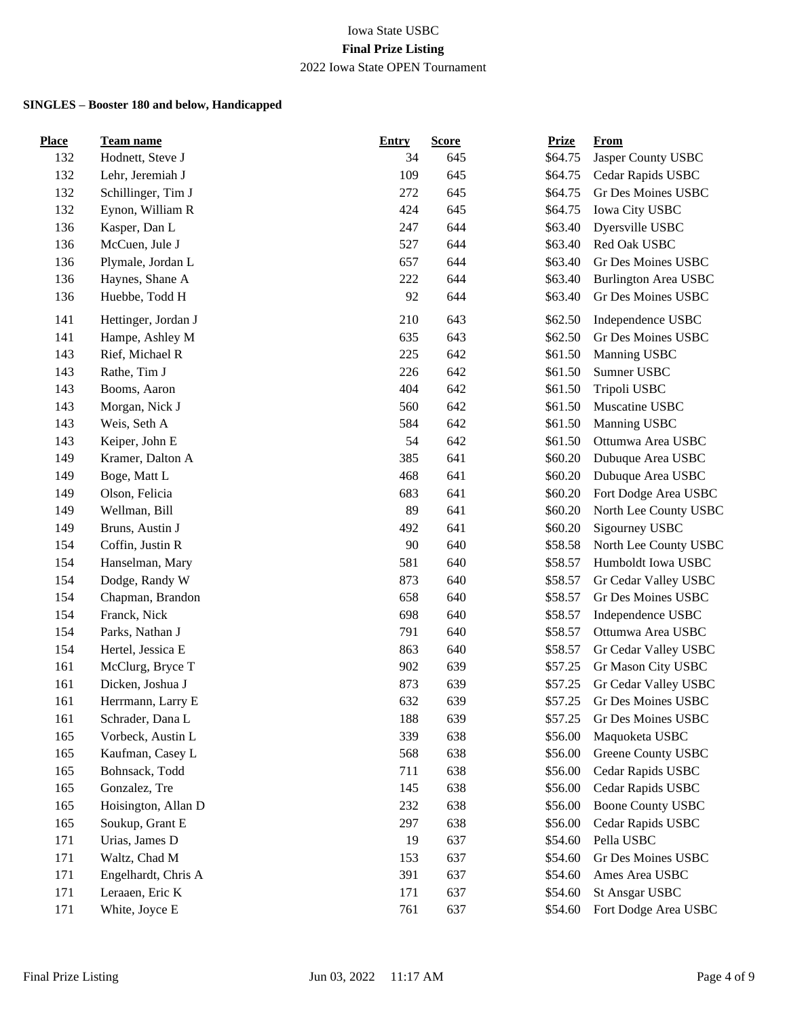| <b>Place</b> | <b>Team name</b>    | <b>Entry</b> | <b>Score</b> | <b>Prize</b> | From                        |
|--------------|---------------------|--------------|--------------|--------------|-----------------------------|
| 132          | Hodnett, Steve J    | 34           | 645          | \$64.75      | Jasper County USBC          |
| 132          | Lehr, Jeremiah J    | 109          | 645          | \$64.75      | Cedar Rapids USBC           |
| 132          | Schillinger, Tim J  | 272          | 645          | \$64.75      | Gr Des Moines USBC          |
| 132          | Eynon, William R    | 424          | 645          | \$64.75      | Iowa City USBC              |
| 136          | Kasper, Dan L       | 247          | 644          | \$63.40      | Dyersville USBC             |
| 136          | McCuen, Jule J      | 527          | 644          | \$63.40      | Red Oak USBC                |
| 136          | Plymale, Jordan L   | 657          | 644          | \$63.40      | Gr Des Moines USBC          |
| 136          | Haynes, Shane A     | 222          | 644          | \$63.40      | <b>Burlington Area USBC</b> |
| 136          | Huebbe, Todd H      | 92           | 644          | \$63.40      | Gr Des Moines USBC          |
| 141          | Hettinger, Jordan J | 210          | 643          | \$62.50      | Independence USBC           |
| 141          | Hampe, Ashley M     | 635          | 643          | \$62.50      | Gr Des Moines USBC          |
| 143          | Rief, Michael R     | 225          | 642          | \$61.50      | Manning USBC                |
| 143          | Rathe, Tim J        | 226          | 642          | \$61.50      | Sumner USBC                 |
| 143          | Booms, Aaron        | 404          | 642          | \$61.50      | Tripoli USBC                |
| 143          | Morgan, Nick J      | 560          | 642          | \$61.50      | Muscatine USBC              |
| 143          | Weis, Seth A        | 584          | 642          | \$61.50      | Manning USBC                |
| 143          | Keiper, John E      | 54           | 642          | \$61.50      | Ottumwa Area USBC           |
| 149          | Kramer, Dalton A    | 385          | 641          | \$60.20      | Dubuque Area USBC           |
| 149          | Boge, Matt L        | 468          | 641          | \$60.20      | Dubuque Area USBC           |
| 149          | Olson, Felicia      | 683          | 641          | \$60.20      | Fort Dodge Area USBC        |
| 149          | Wellman, Bill       | 89           | 641          | \$60.20      | North Lee County USBC       |
| 149          | Bruns, Austin J     | 492          | 641          | \$60.20      | Sigourney USBC              |
| 154          | Coffin, Justin R    | 90           | 640          | \$58.58      | North Lee County USBC       |
| 154          | Hanselman, Mary     | 581          | 640          | \$58.57      | Humboldt Iowa USBC          |
| 154          | Dodge, Randy W      | 873          | 640          | \$58.57      | Gr Cedar Valley USBC        |
| 154          | Chapman, Brandon    | 658          | 640          | \$58.57      | Gr Des Moines USBC          |
| 154          | Franck, Nick        | 698          | 640          | \$58.57      | Independence USBC           |
| 154          | Parks, Nathan J     | 791          | 640          | \$58.57      | Ottumwa Area USBC           |
| 154          | Hertel, Jessica E   | 863          | 640          | \$58.57      | Gr Cedar Valley USBC        |
| 161          | McClurg, Bryce T    | 902          | 639          | \$57.25      | Gr Mason City USBC          |
| 161          | Dicken, Joshua J    | 873          | 639          | \$57.25      | Gr Cedar Valley USBC        |
| 161          | Herrmann, Larry E   | 632          | 639          | \$57.25      | Gr Des Moines USBC          |
| 161          | Schrader, Dana L    | 188          | 639          | \$57.25      | Gr Des Moines USBC          |
| 165          | Vorbeck, Austin L   | 339          | 638          | \$56.00      | Maquoketa USBC              |
| 165          | Kaufman, Casey L    | 568          | 638          | \$56.00      | Greene County USBC          |
| 165          | Bohnsack, Todd      | 711          | 638          | \$56.00      | Cedar Rapids USBC           |
| 165          | Gonzalez, Tre       | 145          | 638          | \$56.00      | Cedar Rapids USBC           |
| 165          | Hoisington, Allan D | 232          | 638          | \$56.00      | <b>Boone County USBC</b>    |
| 165          | Soukup, Grant E     | 297          | 638          | \$56.00      | Cedar Rapids USBC           |
| 171          | Urias, James D      | 19           | 637          | \$54.60      | Pella USBC                  |
| 171          | Waltz, Chad M       | 153          | 637          | \$54.60      | Gr Des Moines USBC          |
| 171          | Engelhardt, Chris A | 391          | 637          | \$54.60      | Ames Area USBC              |
| 171          | Leraaen, Eric K     | 171          | 637          | \$54.60      | St Ansgar USBC              |
| 171          | White, Joyce E      | 761          | 637          | \$54.60      | Fort Dodge Area USBC        |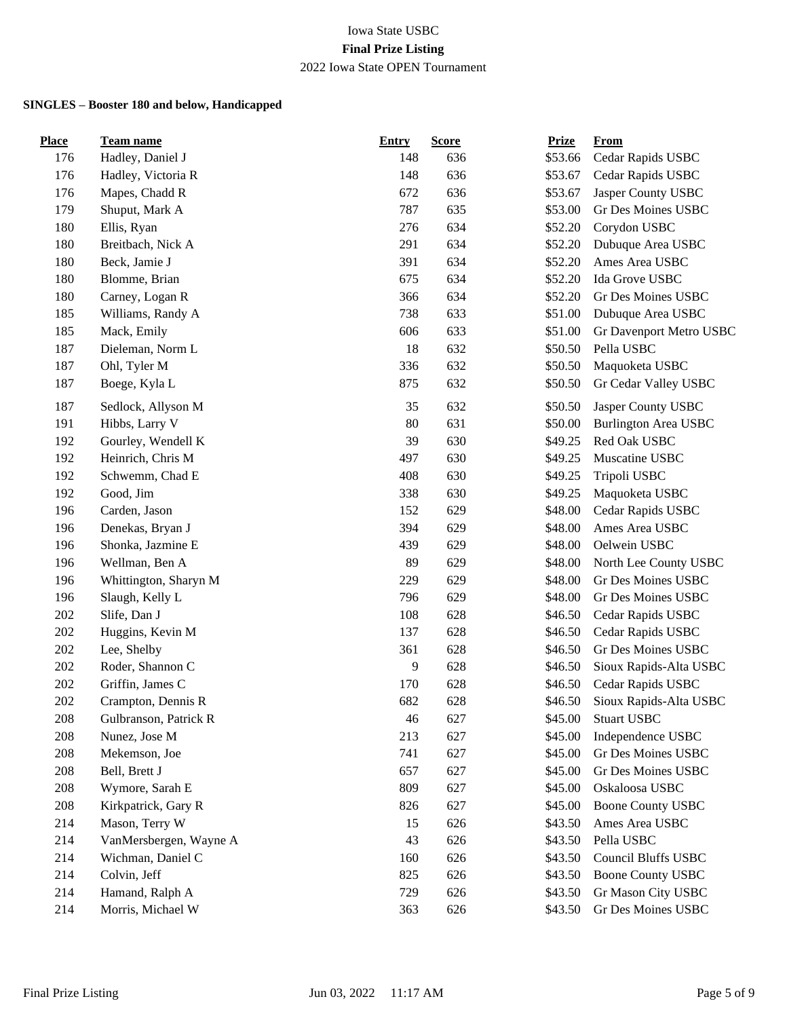| <b>Place</b> | <b>Team name</b>       | <b>Entry</b> | <b>Score</b> | <b>Prize</b> | From                        |
|--------------|------------------------|--------------|--------------|--------------|-----------------------------|
| 176          | Hadley, Daniel J       | 148          | 636          | \$53.66      | Cedar Rapids USBC           |
| 176          | Hadley, Victoria R     | 148          | 636          | \$53.67      | Cedar Rapids USBC           |
| 176          | Mapes, Chadd R         | 672          | 636          | \$53.67      | Jasper County USBC          |
| 179          | Shuput, Mark A         | 787          | 635          | \$53.00      | <b>Gr Des Moines USBC</b>   |
| 180          | Ellis, Ryan            | 276          | 634          | \$52.20      | Corydon USBC                |
| 180          | Breitbach, Nick A      | 291          | 634          | \$52.20      | Dubuque Area USBC           |
| 180          | Beck, Jamie J          | 391          | 634          | \$52.20      | Ames Area USBC              |
| 180          | Blomme, Brian          | 675          | 634          | \$52.20      | Ida Grove USBC              |
| 180          | Carney, Logan R        | 366          | 634          | \$52.20      | Gr Des Moines USBC          |
| 185          | Williams, Randy A      | 738          | 633          | \$51.00      | Dubuque Area USBC           |
| 185          | Mack, Emily            | 606          | 633          | \$51.00      | Gr Davenport Metro USBC     |
| 187          | Dieleman, Norm L       | 18           | 632          | \$50.50      | Pella USBC                  |
| 187          | Ohl, Tyler M           | 336          | 632          | \$50.50      | Maquoketa USBC              |
| 187          | Boege, Kyla L          | 875          | 632          | \$50.50      | Gr Cedar Valley USBC        |
| 187          | Sedlock, Allyson M     | 35           | 632          | \$50.50      | Jasper County USBC          |
| 191          | Hibbs, Larry V         | 80           | 631          | \$50.00      | <b>Burlington Area USBC</b> |
| 192          | Gourley, Wendell K     | 39           | 630          | \$49.25      | Red Oak USBC                |
| 192          | Heinrich, Chris M      | 497          | 630          | \$49.25      | Muscatine USBC              |
| 192          | Schwemm, Chad E        | 408          | 630          | \$49.25      | Tripoli USBC                |
| 192          | Good, Jim              | 338          | 630          | \$49.25      | Maquoketa USBC              |
| 196          | Carden, Jason          | 152          | 629          | \$48.00      | Cedar Rapids USBC           |
| 196          | Denekas, Bryan J       | 394          | 629          | \$48.00      | Ames Area USBC              |
| 196          | Shonka, Jazmine E      | 439          | 629          | \$48.00      | Oelwein USBC                |
| 196          | Wellman, Ben A         | 89           | 629          | \$48.00      | North Lee County USBC       |
| 196          | Whittington, Sharyn M  | 229          | 629          | \$48.00      | Gr Des Moines USBC          |
| 196          | Slaugh, Kelly L        | 796          | 629          | \$48.00      | Gr Des Moines USBC          |
| 202          | Slife, Dan J           | 108          | 628          | \$46.50      | Cedar Rapids USBC           |
| 202          | Huggins, Kevin M       | 137          | 628          | \$46.50      | Cedar Rapids USBC           |
| 202          | Lee, Shelby            | 361          | 628          | \$46.50      | Gr Des Moines USBC          |
| 202          | Roder, Shannon C       | 9            | 628          | \$46.50      | Sioux Rapids-Alta USBC      |
| 202          | Griffin, James C       | 170          | 628          | \$46.50      | Cedar Rapids USBC           |
| 202          | Crampton, Dennis R     | 682          | 628          | \$46.50      | Sioux Rapids-Alta USBC      |
| 208          | Gulbranson, Patrick R  | 46           | 627          | \$45.00      | <b>Stuart USBC</b>          |
| 208          | Nunez, Jose M          | 213          | 627          | \$45.00      | Independence USBC           |
| 208          | Mekemson, Joe          | 741          | 627          | \$45.00      | Gr Des Moines USBC          |
| 208          | Bell, Brett J          | 657          | 627          | \$45.00      | Gr Des Moines USBC          |
| 208          | Wymore, Sarah E        | 809          | 627          | \$45.00      | Oskaloosa USBC              |
| 208          | Kirkpatrick, Gary R    | 826          | 627          | \$45.00      | <b>Boone County USBC</b>    |
| 214          | Mason, Terry W         | 15           | 626          | \$43.50      | Ames Area USBC              |
| 214          | VanMersbergen, Wayne A | 43           | 626          | \$43.50      | Pella USBC                  |
| 214          | Wichman, Daniel C      | 160          | 626          | \$43.50      | Council Bluffs USBC         |
| 214          | Colvin, Jeff           | 825          | 626          | \$43.50      | <b>Boone County USBC</b>    |
| 214          | Hamand, Ralph A        | 729          | 626          | \$43.50      | Gr Mason City USBC          |
| 214          | Morris, Michael W      | 363          | 626          | \$43.50      | Gr Des Moines USBC          |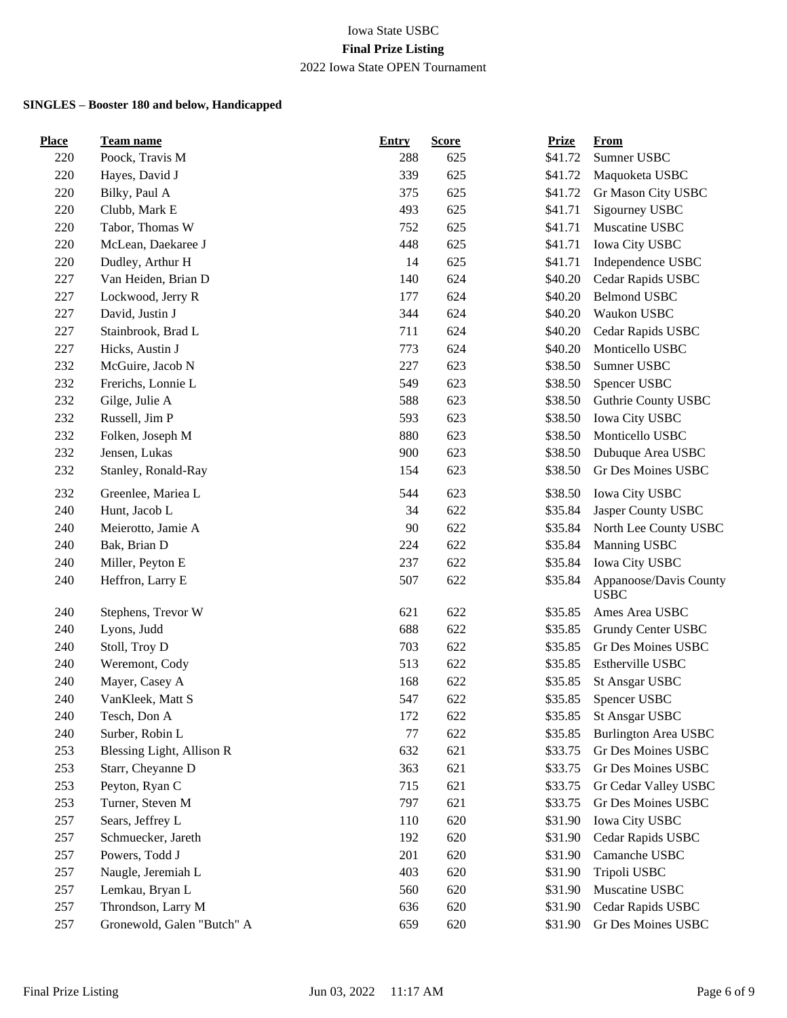| <b>Place</b> | <b>Team name</b>           | Entry | <b>Score</b> | <b>Prize</b> | From                                  |
|--------------|----------------------------|-------|--------------|--------------|---------------------------------------|
| 220          | Poock, Travis M            | 288   | 625          | \$41.72      | Sumner USBC                           |
| 220          | Hayes, David J             | 339   | 625          | \$41.72      | Maquoketa USBC                        |
| 220          | Bilky, Paul A              | 375   | 625          | \$41.72      | Gr Mason City USBC                    |
| 220          | Clubb, Mark E              | 493   | 625          | \$41.71      | Sigourney USBC                        |
| 220          | Tabor, Thomas W            | 752   | 625          | \$41.71      | Muscatine USBC                        |
| 220          | McLean, Daekaree J         | 448   | 625          | \$41.71      | Iowa City USBC                        |
| 220          | Dudley, Arthur H           | 14    | 625          | \$41.71      | Independence USBC                     |
| 227          | Van Heiden, Brian D        | 140   | 624          | \$40.20      | Cedar Rapids USBC                     |
| 227          | Lockwood, Jerry R          | 177   | 624          | \$40.20      | <b>Belmond USBC</b>                   |
| 227          | David, Justin J            | 344   | 624          | \$40.20      | Waukon USBC                           |
| 227          | Stainbrook, Brad L         | 711   | 624          | \$40.20      | Cedar Rapids USBC                     |
| 227          | Hicks, Austin J            | 773   | 624          | \$40.20      | Monticello USBC                       |
| 232          | McGuire, Jacob N           | 227   | 623          | \$38.50      | Sumner USBC                           |
| 232          | Frerichs, Lonnie L         | 549   | 623          | \$38.50      | Spencer USBC                          |
| 232          | Gilge, Julie A             | 588   | 623          | \$38.50      | Guthrie County USBC                   |
| 232          | Russell, Jim P             | 593   | 623          | \$38.50      | Iowa City USBC                        |
| 232          | Folken, Joseph M           | 880   | 623          | \$38.50      | Monticello USBC                       |
| 232          | Jensen, Lukas              | 900   | 623          | \$38.50      | Dubuque Area USBC                     |
| 232          | Stanley, Ronald-Ray        | 154   | 623          | \$38.50      | Gr Des Moines USBC                    |
| 232          | Greenlee, Mariea L         | 544   | 623          | \$38.50      | Iowa City USBC                        |
| 240          | Hunt, Jacob L              | 34    | 622          | \$35.84      | Jasper County USBC                    |
| 240          | Meierotto, Jamie A         | 90    | 622          | \$35.84      | North Lee County USBC                 |
| 240          | Bak, Brian D               | 224   | 622          | \$35.84      | Manning USBC                          |
| 240          | Miller, Peyton E           | 237   | 622          | \$35.84      | Iowa City USBC                        |
| 240          | Heffron, Larry E           | 507   | 622          | \$35.84      | Appanoose/Davis County<br><b>USBC</b> |
| 240          | Stephens, Trevor W         | 621   | 622          | \$35.85      | Ames Area USBC                        |
| 240          | Lyons, Judd                | 688   | 622          | \$35.85      | Grundy Center USBC                    |
| 240          | Stoll, Troy D              | 703   | 622          | \$35.85      | Gr Des Moines USBC                    |
| 240          | Weremont, Cody             | 513   | 622          | \$35.85      | Estherville USBC                      |
| 240          | Mayer, Casey A             | 168   | 622          | \$35.85      | <b>St Ansgar USBC</b>                 |
| 240          | VanKleek, Matt S           | 547   | 622          | \$35.85      | Spencer USBC                          |
| 240          | Tesch, Don A               | 172   | 622          | \$35.85      | <b>St Ansgar USBC</b>                 |
| 240          | Surber, Robin L            | 77    | 622          | \$35.85      | <b>Burlington Area USBC</b>           |
| 253          | Blessing Light, Allison R  | 632   | 621          | \$33.75      | Gr Des Moines USBC                    |
| 253          | Starr, Cheyanne D          | 363   | 621          | \$33.75      | Gr Des Moines USBC                    |
| 253          | Peyton, Ryan C             | 715   | 621          | \$33.75      | Gr Cedar Valley USBC                  |
| 253          | Turner, Steven M           | 797   | 621          | \$33.75      | Gr Des Moines USBC                    |
| 257          | Sears, Jeffrey L           | 110   | 620          | \$31.90      | Iowa City USBC                        |
| 257          | Schmuecker, Jareth         | 192   | 620          | \$31.90      | Cedar Rapids USBC                     |
| 257          | Powers, Todd J             | 201   | 620          | \$31.90      | Camanche USBC                         |
| 257          | Naugle, Jeremiah L         | 403   | 620          | \$31.90      | Tripoli USBC                          |
| 257          | Lemkau, Bryan L            | 560   | 620          | \$31.90      | Muscatine USBC                        |
| 257          | Throndson, Larry M         | 636   | 620          | \$31.90      | Cedar Rapids USBC                     |
| 257          | Gronewold, Galen "Butch" A | 659   | 620          | \$31.90      | Gr Des Moines USBC                    |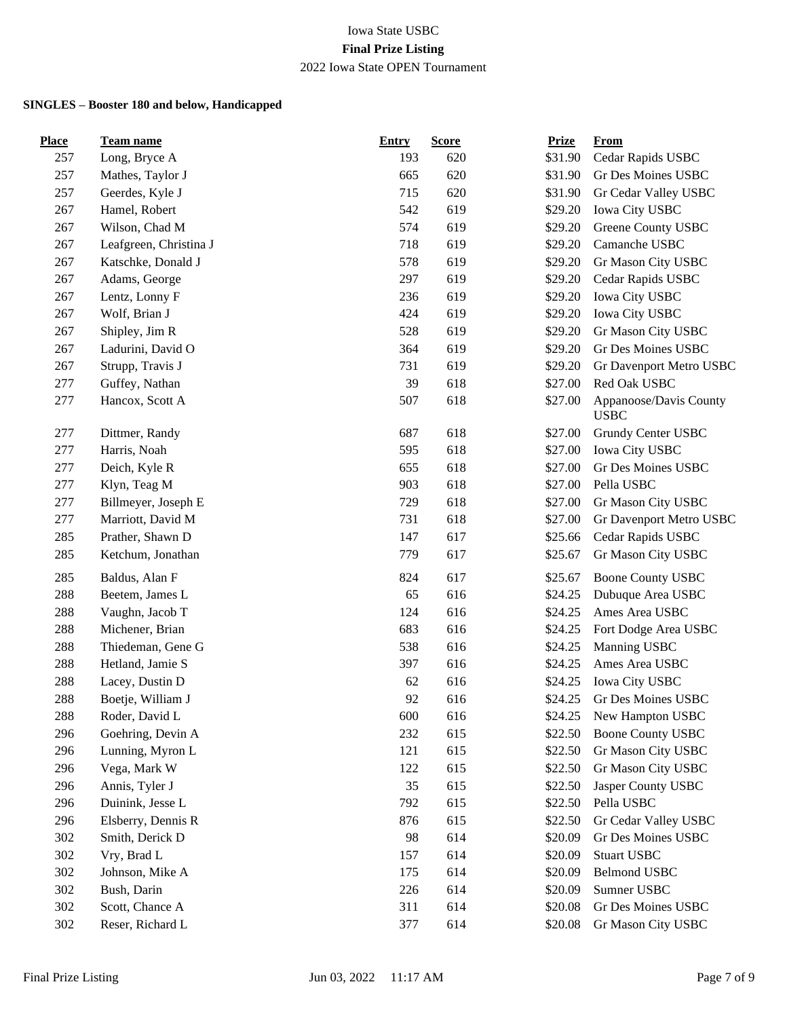| <b>Place</b> | <b>Team name</b>       | <b>Entry</b> | <b>Score</b> | <b>Prize</b> | <b>From</b>                           |
|--------------|------------------------|--------------|--------------|--------------|---------------------------------------|
| 257          | Long, Bryce A          | 193          | 620          | \$31.90      | Cedar Rapids USBC                     |
| 257          | Mathes, Taylor J       | 665          | 620          | \$31.90      | Gr Des Moines USBC                    |
| 257          | Geerdes, Kyle J        | 715          | 620          | \$31.90      | Gr Cedar Valley USBC                  |
| 267          | Hamel, Robert          | 542          | 619          | \$29.20      | Iowa City USBC                        |
| 267          | Wilson, Chad M         | 574          | 619          | \$29.20      | Greene County USBC                    |
| 267          | Leafgreen, Christina J | 718          | 619          | \$29.20      | Camanche USBC                         |
| 267          | Katschke, Donald J     | 578          | 619          | \$29.20      | Gr Mason City USBC                    |
| 267          | Adams, George          | 297          | 619          | \$29.20      | Cedar Rapids USBC                     |
| 267          | Lentz, Lonny F         | 236          | 619          | \$29.20      | Iowa City USBC                        |
| 267          | Wolf, Brian J          | 424          | 619          | \$29.20      | Iowa City USBC                        |
| 267          | Shipley, Jim R         | 528          | 619          | \$29.20      | Gr Mason City USBC                    |
| 267          | Ladurini, David O      | 364          | 619          | \$29.20      | Gr Des Moines USBC                    |
| 267          | Strupp, Travis J       | 731          | 619          | \$29.20      | Gr Davenport Metro USBC               |
| 277          | Guffey, Nathan         | 39           | 618          | \$27.00      | Red Oak USBC                          |
| 277          | Hancox, Scott A        | 507          | 618          | \$27.00      | Appanoose/Davis County<br><b>USBC</b> |
| 277          | Dittmer, Randy         | 687          | 618          | \$27.00      | Grundy Center USBC                    |
| 277          | Harris, Noah           | 595          | 618          | \$27.00      | <b>Iowa City USBC</b>                 |
| 277          | Deich, Kyle R          | 655          | 618          | \$27.00      | Gr Des Moines USBC                    |
| 277          | Klyn, Teag M           | 903          | 618          | \$27.00      | Pella USBC                            |
| 277          | Billmeyer, Joseph E    | 729          | 618          | \$27.00      | Gr Mason City USBC                    |
| 277          | Marriott, David M      | 731          | 618          | \$27.00      | Gr Davenport Metro USBC               |
| 285          | Prather, Shawn D       | 147          | 617          | \$25.66      | Cedar Rapids USBC                     |
| 285          | Ketchum, Jonathan      | 779          | 617          | \$25.67      | Gr Mason City USBC                    |
| 285          | Baldus, Alan F         | 824          | 617          | \$25.67      | <b>Boone County USBC</b>              |
| 288          | Beetem, James L        | 65           | 616          | \$24.25      | Dubuque Area USBC                     |
| 288          | Vaughn, Jacob T        | 124          | 616          | \$24.25      | Ames Area USBC                        |
| 288          | Michener, Brian        | 683          | 616          | \$24.25      | Fort Dodge Area USBC                  |
| 288          | Thiedeman, Gene G      | 538          | 616          | \$24.25      | Manning USBC                          |
| 288          | Hetland, Jamie S       | 397          | 616          | \$24.25      | Ames Area USBC                        |
| 288          | Lacey, Dustin D        | 62           | 616          | \$24.25      | Iowa City USBC                        |
| 288          | Boetje, William J      | 92           | 616          | \$24.25      | Gr Des Moines USBC                    |
| 288          | Roder, David L         | 600          | 616          | \$24.25      | New Hampton USBC                      |
| 296          | Goehring, Devin A      | 232          | 615          | \$22.50      | <b>Boone County USBC</b>              |
| 296          | Lunning, Myron L       | 121          | 615          | \$22.50      | Gr Mason City USBC                    |
| 296          | Vega, Mark W           | 122          | 615          | \$22.50      | Gr Mason City USBC                    |
| 296          | Annis, Tyler J         | 35           | 615          | \$22.50      | Jasper County USBC                    |
| 296          | Duinink, Jesse L       | 792          | 615          | \$22.50      | Pella USBC                            |
| 296          | Elsberry, Dennis R     | 876          | 615          | \$22.50      | Gr Cedar Valley USBC                  |
| 302          | Smith, Derick D        | 98           | 614          | \$20.09      | Gr Des Moines USBC                    |
| 302          | Vry, Brad L            | 157          | 614          | \$20.09      | <b>Stuart USBC</b>                    |
| 302          | Johnson, Mike A        | 175          | 614          | \$20.09      | <b>Belmond USBC</b>                   |
| 302          | Bush, Darin            | 226          | 614          | \$20.09      | Sumner USBC                           |
| 302          | Scott, Chance A        | 311          | 614          | \$20.08      | Gr Des Moines USBC                    |
| 302          | Reser, Richard L       | 377          | 614          | \$20.08      | Gr Mason City USBC                    |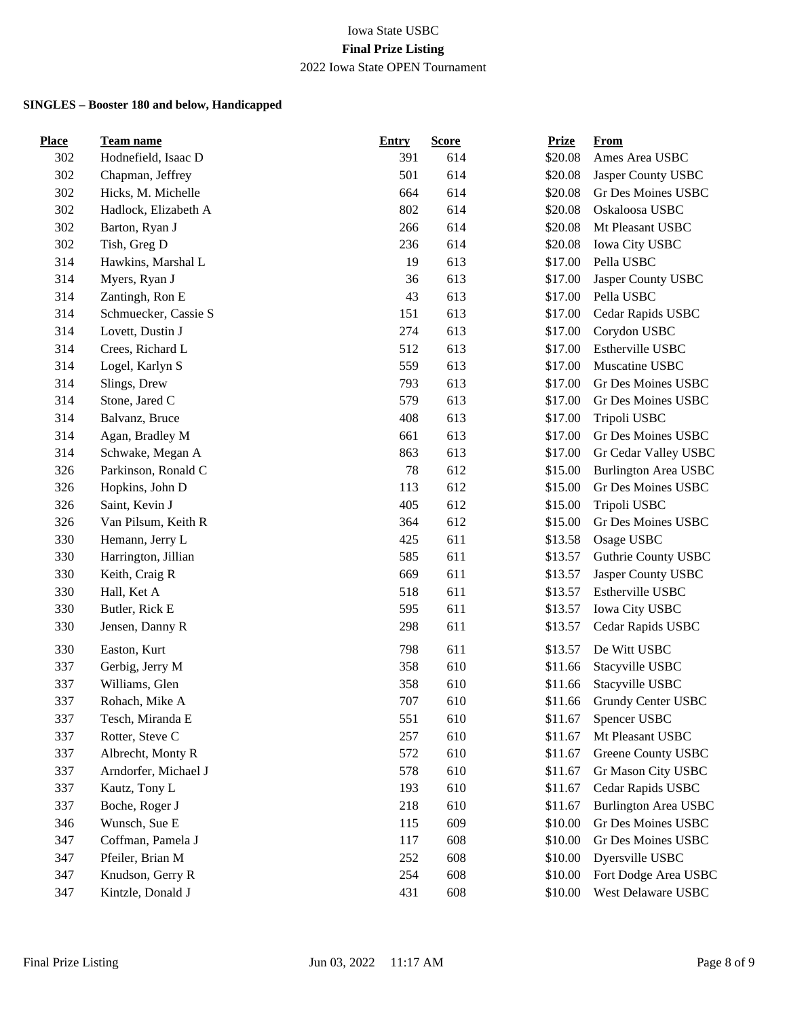| <b>Place</b> | <b>Team name</b>     | <b>Entry</b> | <b>Score</b> | <b>Prize</b> | <b>From</b>                 |
|--------------|----------------------|--------------|--------------|--------------|-----------------------------|
| 302          | Hodnefield, Isaac D  | 391          | 614          | \$20.08      | Ames Area USBC              |
| 302          | Chapman, Jeffrey     | 501          | 614          | \$20.08      | Jasper County USBC          |
| 302          | Hicks, M. Michelle   | 664          | 614          | \$20.08      | Gr Des Moines USBC          |
| 302          | Hadlock, Elizabeth A | 802          | 614          | \$20.08      | Oskaloosa USBC              |
| 302          | Barton, Ryan J       | 266          | 614          | \$20.08      | Mt Pleasant USBC            |
| 302          | Tish, Greg D         | 236          | 614          | \$20.08      | <b>Iowa City USBC</b>       |
| 314          | Hawkins, Marshal L   | 19           | 613          | \$17.00      | Pella USBC                  |
| 314          | Myers, Ryan J        | 36           | 613          | \$17.00      | Jasper County USBC          |
| 314          | Zantingh, Ron E      | 43           | 613          | \$17.00      | Pella USBC                  |
| 314          | Schmuecker, Cassie S | 151          | 613          | \$17.00      | Cedar Rapids USBC           |
| 314          | Lovett, Dustin J     | 274          | 613          | \$17.00      | Corydon USBC                |
| 314          | Crees, Richard L     | 512          | 613          | \$17.00      | Estherville USBC            |
| 314          | Logel, Karlyn S      | 559          | 613          | \$17.00      | Muscatine USBC              |
| 314          | Slings, Drew         | 793          | 613          | \$17.00      | Gr Des Moines USBC          |
| 314          | Stone, Jared C       | 579          | 613          | \$17.00      | Gr Des Moines USBC          |
| 314          | Balvanz, Bruce       | 408          | 613          | \$17.00      | Tripoli USBC                |
| 314          | Agan, Bradley M      | 661          | 613          | \$17.00      | Gr Des Moines USBC          |
| 314          | Schwake, Megan A     | 863          | 613          | \$17.00      | Gr Cedar Valley USBC        |
| 326          | Parkinson, Ronald C  | 78           | 612          | \$15.00      | <b>Burlington Area USBC</b> |
| 326          | Hopkins, John D      | 113          | 612          | \$15.00      | Gr Des Moines USBC          |
| 326          | Saint, Kevin J       | 405          | 612          | \$15.00      | Tripoli USBC                |
| 326          | Van Pilsum, Keith R  | 364          | 612          | \$15.00      | Gr Des Moines USBC          |
| 330          | Hemann, Jerry L      | 425          | 611          | \$13.58      | Osage USBC                  |
| 330          | Harrington, Jillian  | 585          | 611          | \$13.57      | Guthrie County USBC         |
| 330          | Keith, Craig R       | 669          | 611          | \$13.57      | Jasper County USBC          |
| 330          | Hall, Ket A          | 518          | 611          | \$13.57      | Estherville USBC            |
| 330          | Butler, Rick E       | 595          | 611          | \$13.57      | Iowa City USBC              |
| 330          | Jensen, Danny R      | 298          | 611          | \$13.57      | Cedar Rapids USBC           |
| 330          | Easton, Kurt         | 798          | 611          | \$13.57      | De Witt USBC                |
| 337          | Gerbig, Jerry M      | 358          | 610          | \$11.66      | Stacyville USBC             |
| 337          | Williams, Glen       | 358          | 610          | \$11.66      | Stacyville USBC             |
| 337          | Rohach, Mike A       | 707          | 610          | \$11.66      | Grundy Center USBC          |
| 337          | Tesch, Miranda E     | 551          | 610          | \$11.67      | Spencer USBC                |
| 337          | Rotter, Steve C      | 257          | 610          | \$11.67      | Mt Pleasant USBC            |
| 337          | Albrecht, Monty R    | 572          | 610          | \$11.67      | Greene County USBC          |
| 337          | Arndorfer, Michael J | 578          | 610          | \$11.67      | Gr Mason City USBC          |
| 337          | Kautz, Tony L        | 193          | 610          | \$11.67      | Cedar Rapids USBC           |
| 337          | Boche, Roger J       | 218          | 610          | \$11.67      | Burlington Area USBC        |
| 346          | Wunsch, Sue E        | 115          | 609          | \$10.00      | Gr Des Moines USBC          |
| 347          | Coffman, Pamela J    | 117          | 608          | \$10.00      | Gr Des Moines USBC          |
| 347          | Pfeiler, Brian M     | 252          | 608          | \$10.00      | Dyersville USBC             |
| 347          | Knudson, Gerry R     | 254          | 608          | \$10.00      | Fort Dodge Area USBC        |
| 347          | Kintzle, Donald J    | 431          | 608          | \$10.00      | West Delaware USBC          |